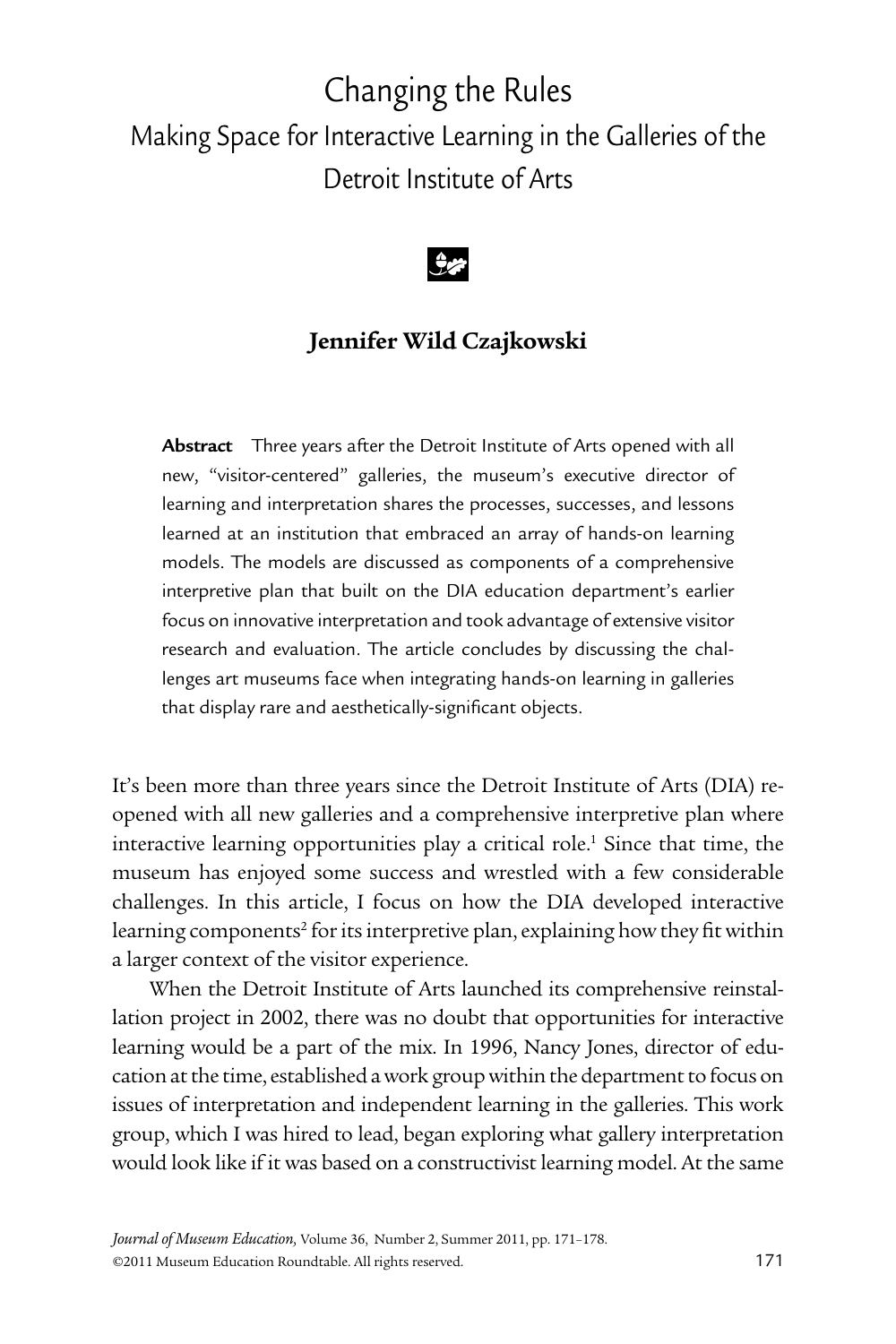## Changing the Rules Making Space for Interactive Learning in the Galleries of the Detroit Institute of Arts



## **Jennifer Wild Czajkowski**

**Abstract** Three years after the Detroit Institute of Arts opened with all new, "visitor-centered" galleries, the museum's executive director of learning and interpretation shares the processes, successes, and lessons learned at an institution that embraced an array of hands-on learning models. The models are discussed as components of a comprehensive interpretive plan that built on the DIA education department's earlier focus on innovative interpretation and took advantage of extensive visitor research and evaluation. The article concludes by discussing the challenges art museums face when integrating hands-on learning in galleries that display rare and aesthetically-significant objects.

It's been more than three years since the Detroit Institute of Arts (DIA) reopened with all new galleries and a comprehensive interpretive plan where interactive learning opportunities play a critical role.<sup>1</sup> Since that time, the museum has enjoyed some success and wrestled with a few considerable challenges. In this article, I focus on how the DIA developed interactive learning components<sup>2</sup> for its interpretive plan, explaining how they fit within a larger context of the visitor experience.

When the Detroit Institute of Arts launched its comprehensive reinstallation project in 2002, there was no doubt that opportunities for interactive learning would be a part of the mix. In 1996, Nancy Jones, director of education at the time, established a work group within the department to focus on issues of interpretation and independent learning in the galleries. This work group, which I was hired to lead, began exploring what gallery interpretation would look like if it was based on a constructivist learning model. At the same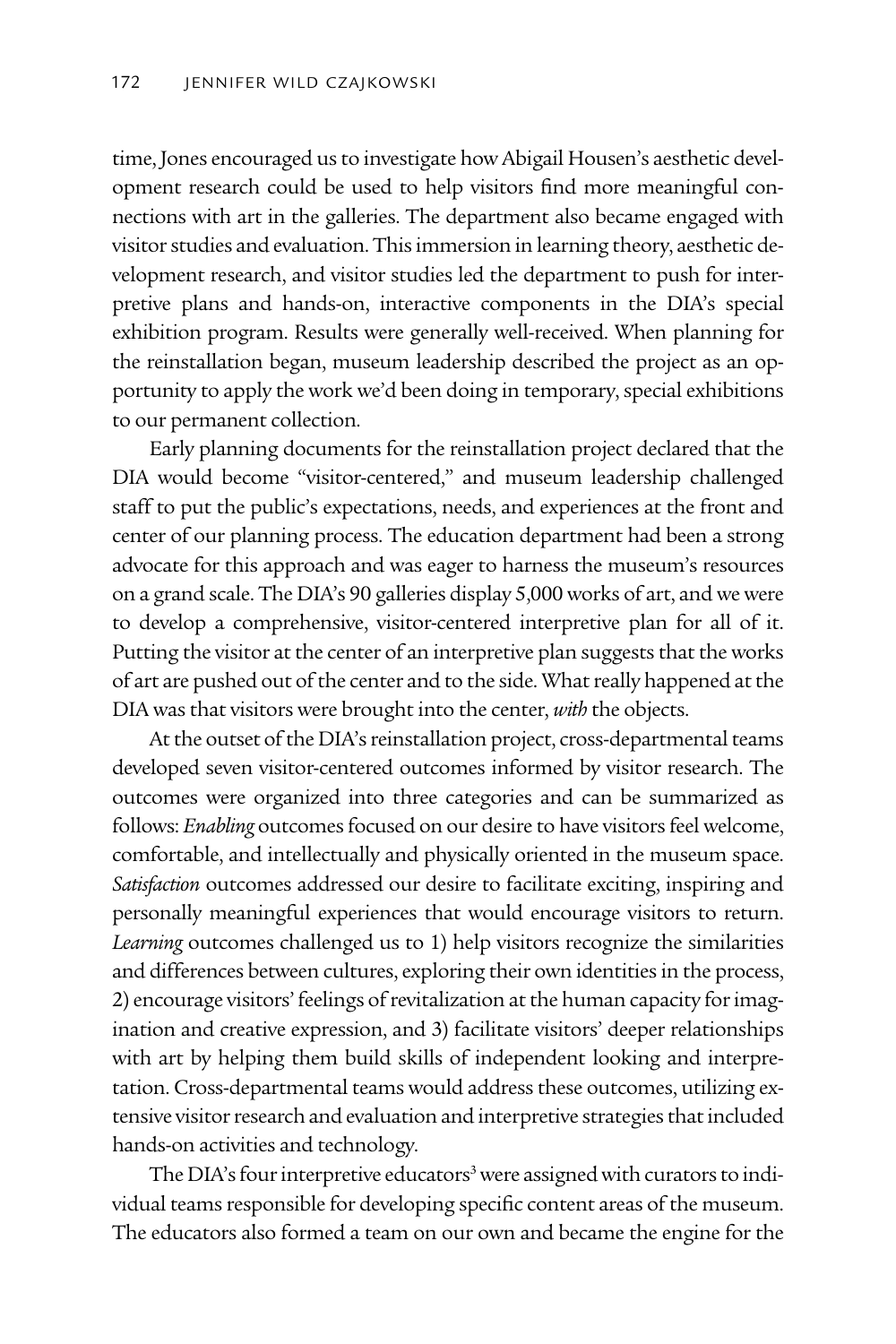time, Jones encouraged us to investigate how Abigail Housen's aesthetic development research could be used to help visitors find more meaningful connections with art in the galleries. The department also became engaged with visitor studies and evaluation. This immersion in learning theory, aesthetic development research, and visitor studies led the department to push for interpretive plans and hands-on, interactive components in the DIA's special exhibition program. Results were generally well-received. When planning for the reinstallation began, museum leadership described the project as an opportunity to apply the work we'd been doing in temporary, special exhibitions to our permanent collection.

Early planning documents for the reinstallation project declared that the DIA would become "visitor-centered," and museum leadership challenged staff to put the public's expectations, needs, and experiences at the front and center of our planning process. The education department had been a strong advocate for this approach and was eager to harness the museum's resources on a grand scale. The DIA's 90 galleries display 5,000 works of art, and we were to develop a comprehensive, visitor-centered interpretive plan for all of it. Putting the visitor at the center of an interpretive plan suggests that the works of art are pushed out of the center and to the side. What really happened at the DIA was that visitors were brought into the center, *with* the objects.

At the outset of the DIA's reinstallation project, cross-departmental teams developed seven visitor-centered outcomes informed by visitor research. The outcomes were organized into three categories and can be summarized as follows: *Enabling* outcomes focused on our desire to have visitors feel welcome, comfortable, and intellectually and physically oriented in the museum space. *Satisfaction* outcomes addressed our desire to facilitate exciting, inspiring and personally meaningful experiences that would encourage visitors to return. *Learning* outcomes challenged us to 1) help visitors recognize the similarities and differences between cultures, exploring their own identities in the process, 2) encourage visitors' feelings of revitalization at the human capacity for imagination and creative expression, and 3) facilitate visitors' deeper relationships with art by helping them build skills of independent looking and interpretation. Cross-departmental teams would address these outcomes, utilizing extensive visitor research and evaluation and interpretive strategies that included hands-on activities and technology.

The DIA's four interpretive educators<sup>3</sup> were assigned with curators to individual teams responsible for developing specific content areas of the museum. The educators also formed a team on our own and became the engine for the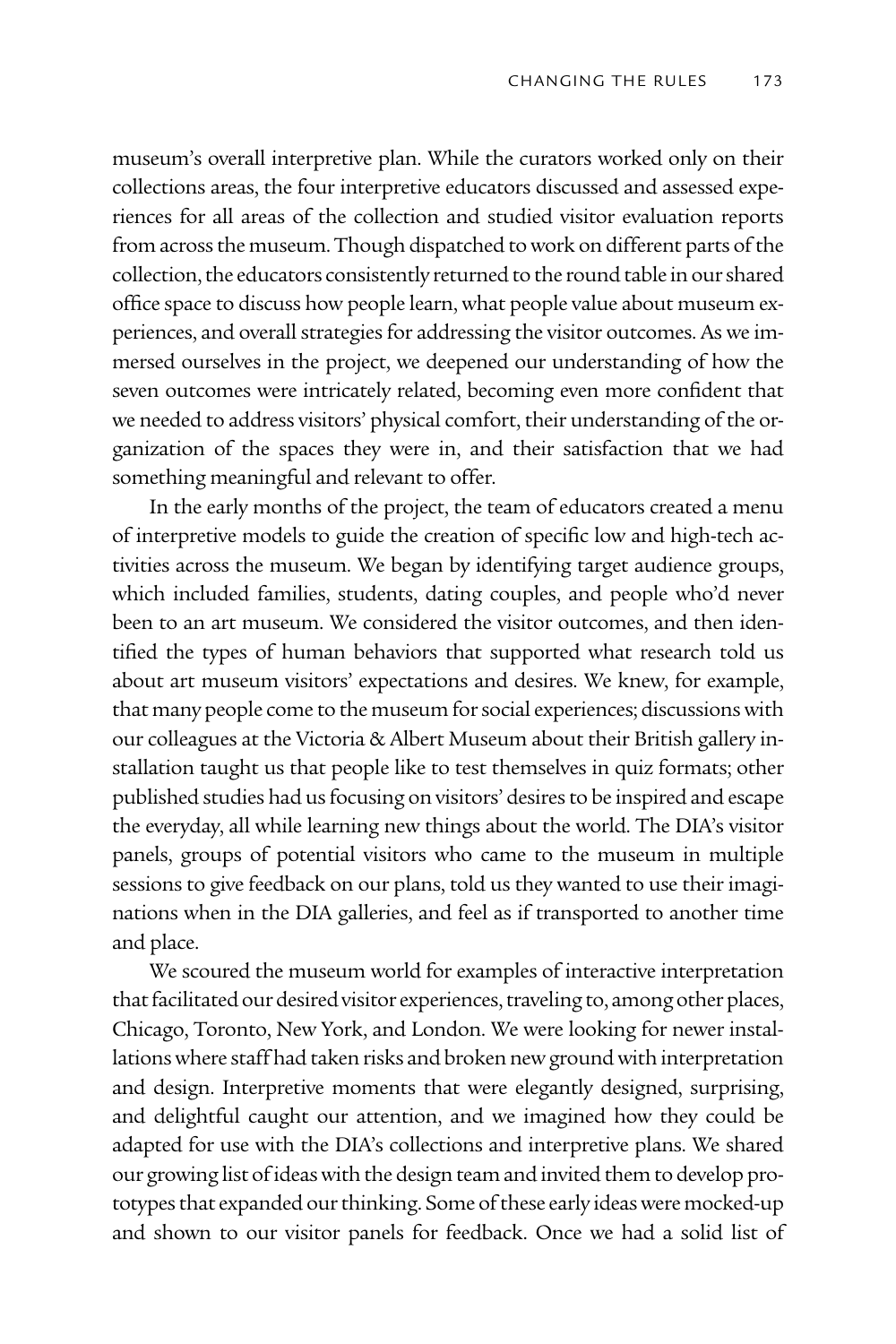museum's overall interpretive plan. While the curators worked only on their collections areas, the four interpretive educators discussed and assessed experiences for all areas of the collection and studied visitor evaluation reports from across the museum. Though dispatched to work on different parts of the collection, the educators consistently returned to the round table in our shared office space to discuss how people learn, what people value about museum experiences, and overall strategies for addressing the visitor outcomes. As we immersed ourselves in the project, we deepened our understanding of how the seven outcomes were intricately related, becoming even more confident that we needed to address visitors' physical comfort, their understanding of the organization of the spaces they were in, and their satisfaction that we had something meaningful and relevant to offer.

In the early months of the project, the team of educators created a menu of interpretive models to guide the creation of specific low and high-tech activities across the museum. We began by identifying target audience groups, which included families, students, dating couples, and people who'd never been to an art museum. We considered the visitor outcomes, and then identified the types of human behaviors that supported what research told us about art museum visitors' expectations and desires. We knew, for example, that many people come to the museum for social experiences; discussions with our colleagues at the Victoria & Albert Museum about their British gallery installation taught us that people like to test themselves in quiz formats; other published studies had us focusing on visitors' desires to be inspired and escape the everyday, all while learning new things about the world. The DIA's visitor panels, groups of potential visitors who came to the museum in multiple sessions to give feedback on our plans, told us they wanted to use their imaginations when in the DIA galleries, and feel as if transported to another time and place.

We scoured the museum world for examples of interactive interpretation that facilitated our desired visitor experiences, traveling to, among other places, Chicago, Toronto, New York, and London. We were looking for newer installations where staff had taken risks and broken new ground with interpretation and design. Interpretive moments that were elegantly designed, surprising, and delightful caught our attention, and we imagined how they could be adapted for use with the DIA's collections and interpretive plans. We shared our growing list of ideas with the design team and invited them to develop prototypes that expanded our thinking. Some of these early ideas were mocked-up and shown to our visitor panels for feedback. Once we had a solid list of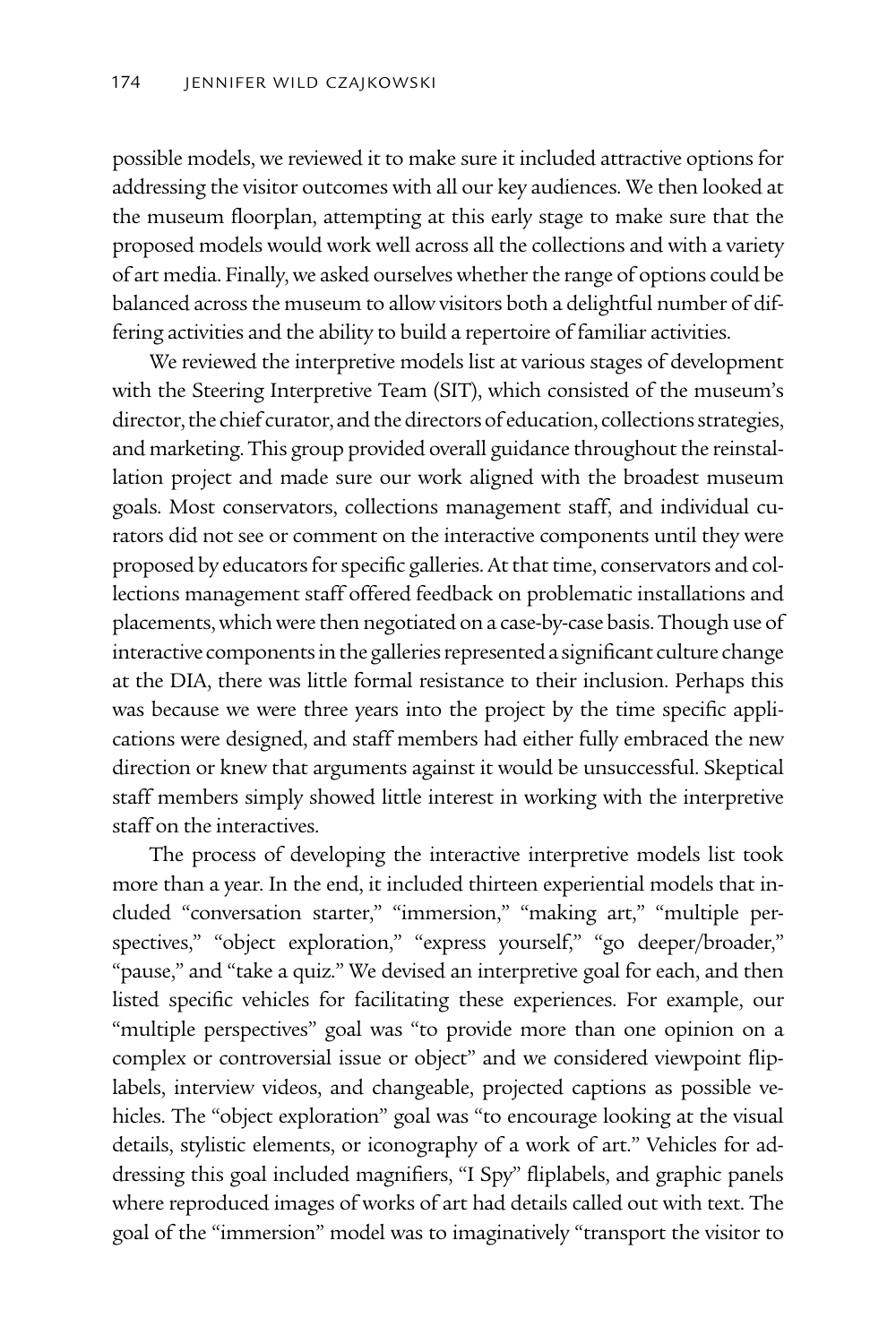possible models, we reviewed it to make sure it included attractive options for addressing the visitor outcomes with all our key audiences. We then looked at the museum floorplan, attempting at this early stage to make sure that the proposed models would work well across all the collections and with a variety of art media. Finally, we asked ourselves whether the range of options could be balanced across the museum to allow visitors both a delightful number of differing activities and the ability to build a repertoire of familiar activities.

We reviewed the interpretive models list at various stages of development with the Steering Interpretive Team (SIT), which consisted of the museum's director, the chief curator, and the directors of education, collections strategies, and marketing. This group provided overall guidance throughout the reinstallation project and made sure our work aligned with the broadest museum goals. Most conservators, collections management staff, and individual curators did not see or comment on the interactive components until they were proposed by educators for specific galleries. At that time, conservators and collections management staff offered feedback on problematic installations and placements, which were then negotiated on a case-by-case basis. Though use of interactive components in the galleries represented a significant culture change at the DIA, there was little formal resistance to their inclusion. Perhaps this was because we were three years into the project by the time specific applications were designed, and staff members had either fully embraced the new direction or knew that arguments against it would be unsuccessful. Skeptical staff members simply showed little interest in working with the interpretive staff on the interactives.

The process of developing the interactive interpretive models list took more than a year. In the end, it included thirteen experiential models that included "conversation starter," "immersion," "making art," "multiple perspectives," "object exploration," "express yourself," "go deeper/broader," "pause," and "take a quiz." We devised an interpretive goal for each, and then listed specific vehicles for facilitating these experiences. For example, our "multiple perspectives" goal was "to provide more than one opinion on a complex or controversial issue or object" and we considered viewpoint fliplabels, interview videos, and changeable, projected captions as possible vehicles. The "object exploration" goal was "to encourage looking at the visual details, stylistic elements, or iconography of a work of art." Vehicles for addressing this goal included magnifiers, "I Spy" fliplabels, and graphic panels where reproduced images of works of art had details called out with text. The goal of the "immersion" model was to imaginatively "transport the visitor to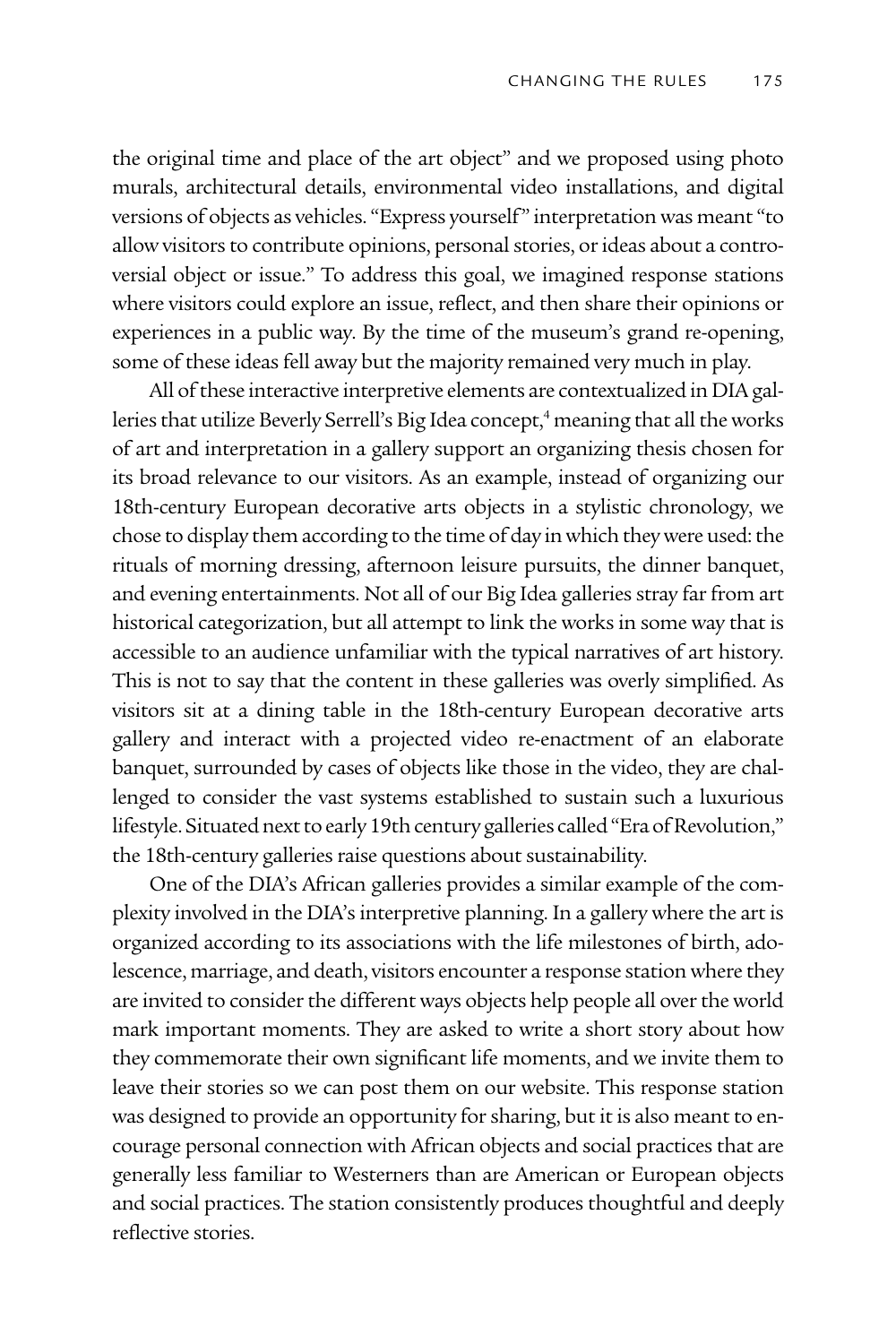the original time and place of the art object" and we proposed using photo murals, architectural details, environmental video installations, and digital versions of objects as vehicles. "Express yourself" interpretation was meant "to allow visitors to contribute opinions, personal stories, or ideas about a controversial object or issue." To address this goal, we imagined response stations where visitors could explore an issue, reflect, and then share their opinions or experiences in a public way. By the time of the museum's grand re-opening, some of these ideas fell away but the majority remained very much in play.

All of these interactive interpretive elements are contextualized in DIA galleries that utilize Beverly Serrell's Big Idea concept,<sup>4</sup> meaning that all the works of art and interpretation in a gallery support an organizing thesis chosen for its broad relevance to our visitors. As an example, instead of organizing our 18th-century European decorative arts objects in a stylistic chronology, we chose to display them according to the time of day in which they were used: the rituals of morning dressing, afternoon leisure pursuits, the dinner banquet, and evening entertainments. Not all of our Big Idea galleries stray far from art historical categorization, but all attempt to link the works in some way that is accessible to an audience unfamiliar with the typical narratives of art history. This is not to say that the content in these galleries was overly simplified. As visitors sit at a dining table in the 18th-century European decorative arts gallery and interact with a projected video re-enactment of an elaborate banquet, surrounded by cases of objects like those in the video, they are challenged to consider the vast systems established to sustain such a luxurious lifestyle. Situated next to early 19th century galleries called "Era of Revolution," the 18th-century galleries raise questions about sustainability.

One of the DIA's African galleries provides a similar example of the complexity involved in the DIA's interpretive planning. In a gallery where the art is organized according to its associations with the life milestones of birth, adolescence, marriage, and death, visitors encounter a response station where they are invited to consider the different ways objects help people all over the world mark important moments. They are asked to write a short story about how they commemorate their own significant life moments, and we invite them to leave their stories so we can post them on our website. This response station was designed to provide an opportunity for sharing, but it is also meant to encourage personal connection with African objects and social practices that are generally less familiar to Westerners than are American or European objects and social practices. The station consistently produces thoughtful and deeply reflective stories.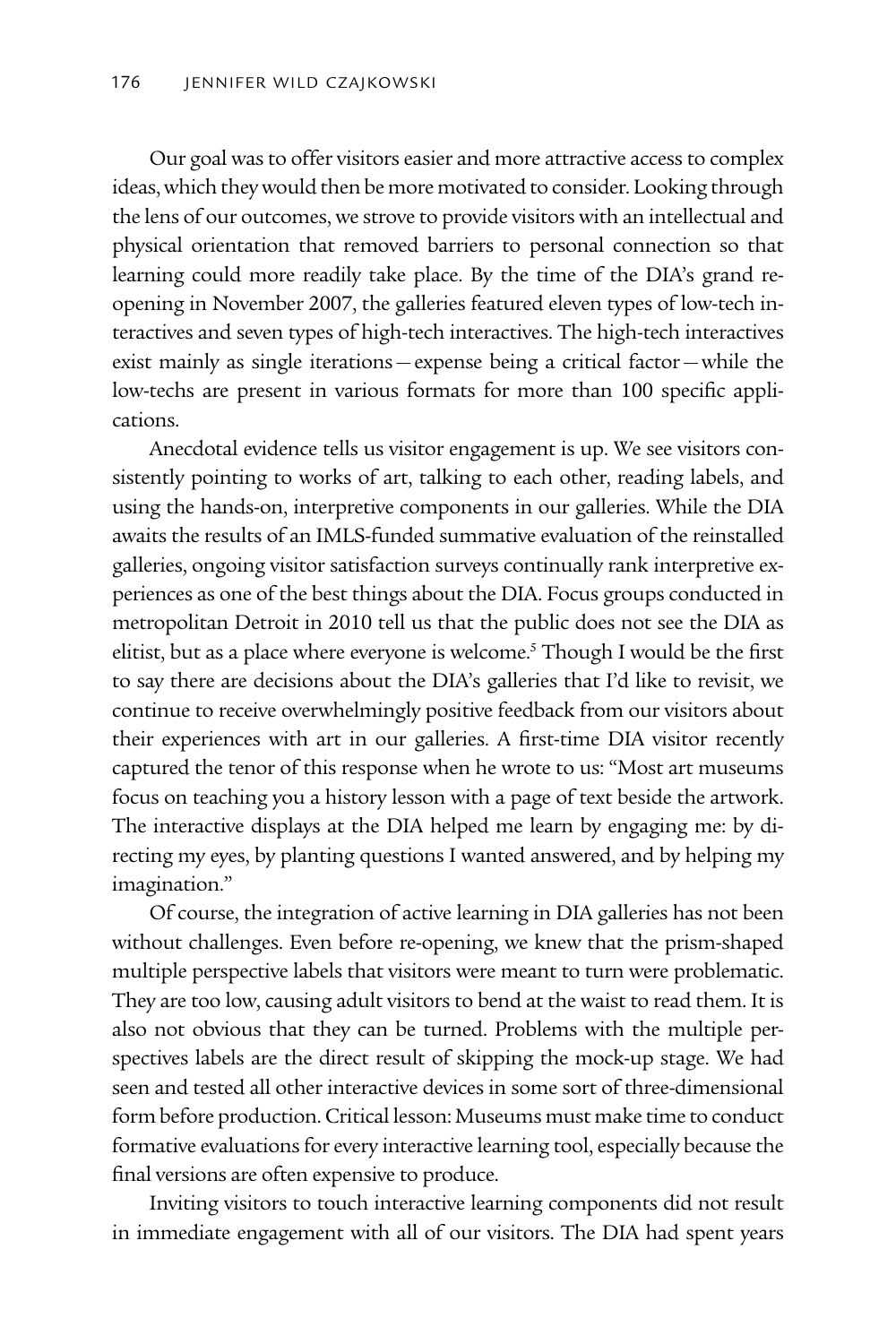Our goal was to offer visitors easier and more attractive access to complex ideas, which they would then be more motivated to consider. Looking through the lens of our outcomes, we strove to provide visitors with an intellectual and physical orientation that removed barriers to personal connection so that learning could more readily take place. By the time of the DIA's grand reopening in November 2007, the galleries featured eleven types of low-tech interactives and seven types of high-tech interactives. The high-tech interactives exist mainly as single iterations—expense being a critical factor—while the low-techs are present in various formats for more than 100 specific applications.

Anecdotal evidence tells us visitor engagement is up. We see visitors consistently pointing to works of art, talking to each other, reading labels, and using the hands-on, interpretive components in our galleries. While the DIA awaits the results of an IMLS-funded summative evaluation of the reinstalled galleries, ongoing visitor satisfaction surveys continually rank interpretive experiences as one of the best things about the DIA. Focus groups conducted in metropolitan Detroit in 2010 tell us that the public does not see the DIA as elitist, but as a place where everyone is welcome.<sup>5</sup> Though I would be the first to say there are decisions about the DIA's galleries that I'd like to revisit, we continue to receive overwhelmingly positive feedback from our visitors about their experiences with art in our galleries. A first-time DIA visitor recently captured the tenor of this response when he wrote to us: "Most art museums focus on teaching you a history lesson with a page of text beside the artwork. The interactive displays at the DIA helped me learn by engaging me: by directing my eyes, by planting questions I wanted answered, and by helping my imagination."

Of course, the integration of active learning in DIA galleries has not been without challenges. Even before re-opening, we knew that the prism-shaped multiple perspective labels that visitors were meant to turn were problematic. They are too low, causing adult visitors to bend at the waist to read them. It is also not obvious that they can be turned. Problems with the multiple perspectives labels are the direct result of skipping the mock-up stage. We had seen and tested all other interactive devices in some sort of three-dimensional form before production. Critical lesson: Museums must make time to conduct formative evaluations for every interactive learning tool, especially because the final versions are often expensive to produce.

Inviting visitors to touch interactive learning components did not result in immediate engagement with all of our visitors. The DIA had spent years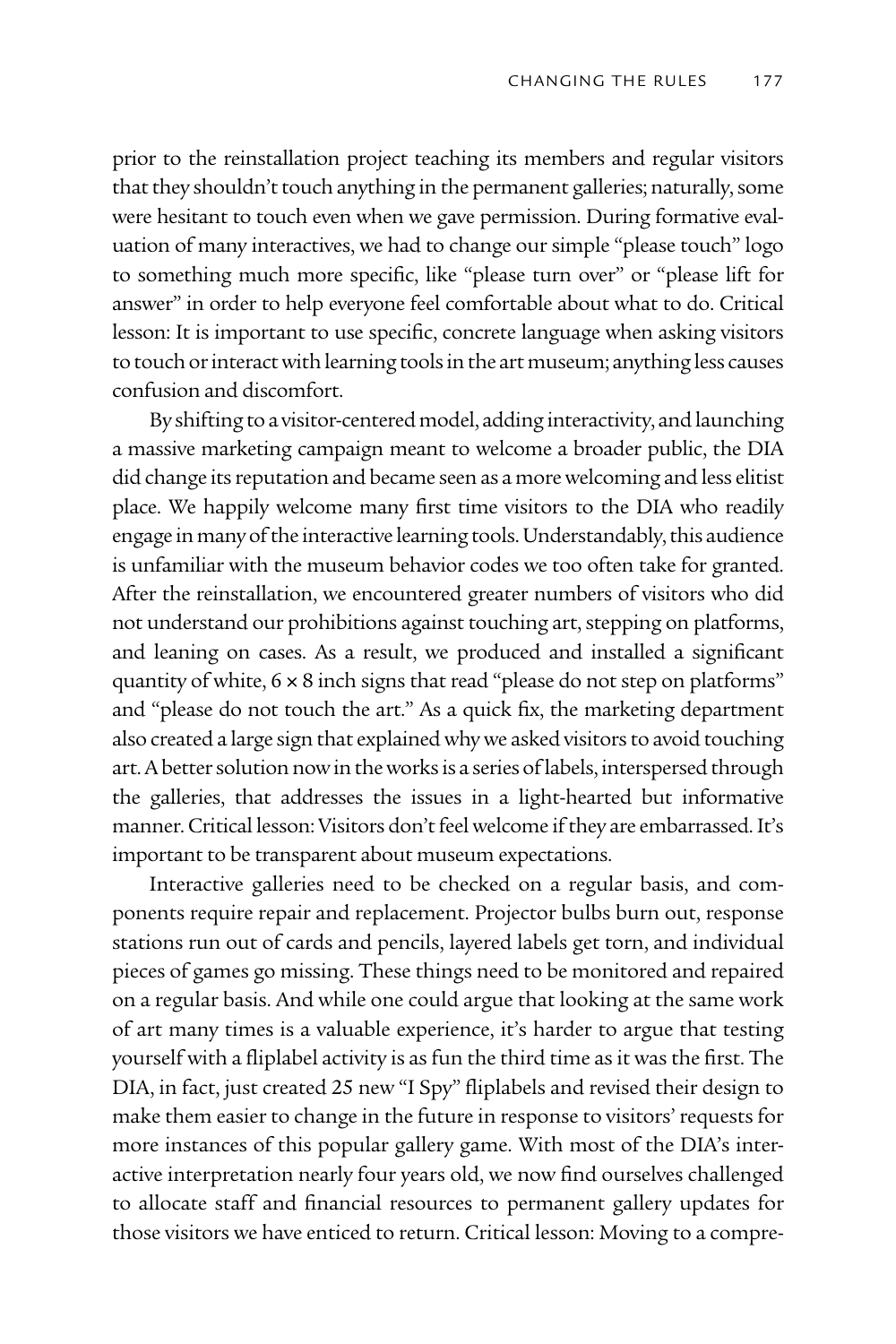prior to the reinstallation project teaching its members and regular visitors that they shouldn't touch anything in the permanent galleries; naturally, some were hesitant to touch even when we gave permission. During formative evaluation of many interactives, we had to change our simple "please touch" logo to something much more specific, like "please turn over" or "please lift for answer" in order to help everyone feel comfortable about what to do. Critical lesson: It is important to use specific, concrete language when asking visitors to touch or interact with learning tools in the art museum; anything less causes confusion and discomfort.

By shifting to a visitor-centered model, adding interactivity, and launching a massive marketing campaign meant to welcome a broader public, the DIA did change its reputation and became seen as a more welcoming and less elitist place. We happily welcome many first time visitors to the DIA who readily engage in many of the interactive learning tools. Understandably, this audience is unfamiliar with the museum behavior codes we too often take for granted. After the reinstallation, we encountered greater numbers of visitors who did not understand our prohibitions against touching art, stepping on platforms, and leaning on cases. As a result, we produced and installed a significant quantity of white, 6 × 8 inch signs that read "please do not step on platforms" and "please do not touch the art." As a quick fix, the marketing department also created a large sign that explained why we asked visitors to avoid touching art. A better solution now in the works is a series of labels, interspersed through the galleries, that addresses the issues in a light-hearted but informative manner. Critical lesson: Visitors don't feel welcome if they are embarrassed. It's important to be transparent about museum expectations.

Interactive galleries need to be checked on a regular basis, and components require repair and replacement. Projector bulbs burn out, response stations run out of cards and pencils, layered labels get torn, and individual pieces of games go missing. These things need to be monitored and repaired on a regular basis. And while one could argue that looking at the same work of art many times is a valuable experience, it's harder to argue that testing yourself with a fliplabel activity is as fun the third time as it was the first. The DIA, in fact, just created 25 new "I Spy" fliplabels and revised their design to make them easier to change in the future in response to visitors' requests for more instances of this popular gallery game. With most of the DIA's interactive interpretation nearly four years old, we now find ourselves challenged to allocate staff and financial resources to permanent gallery updates for those visitors we have enticed to return. Critical lesson: Moving to a compre